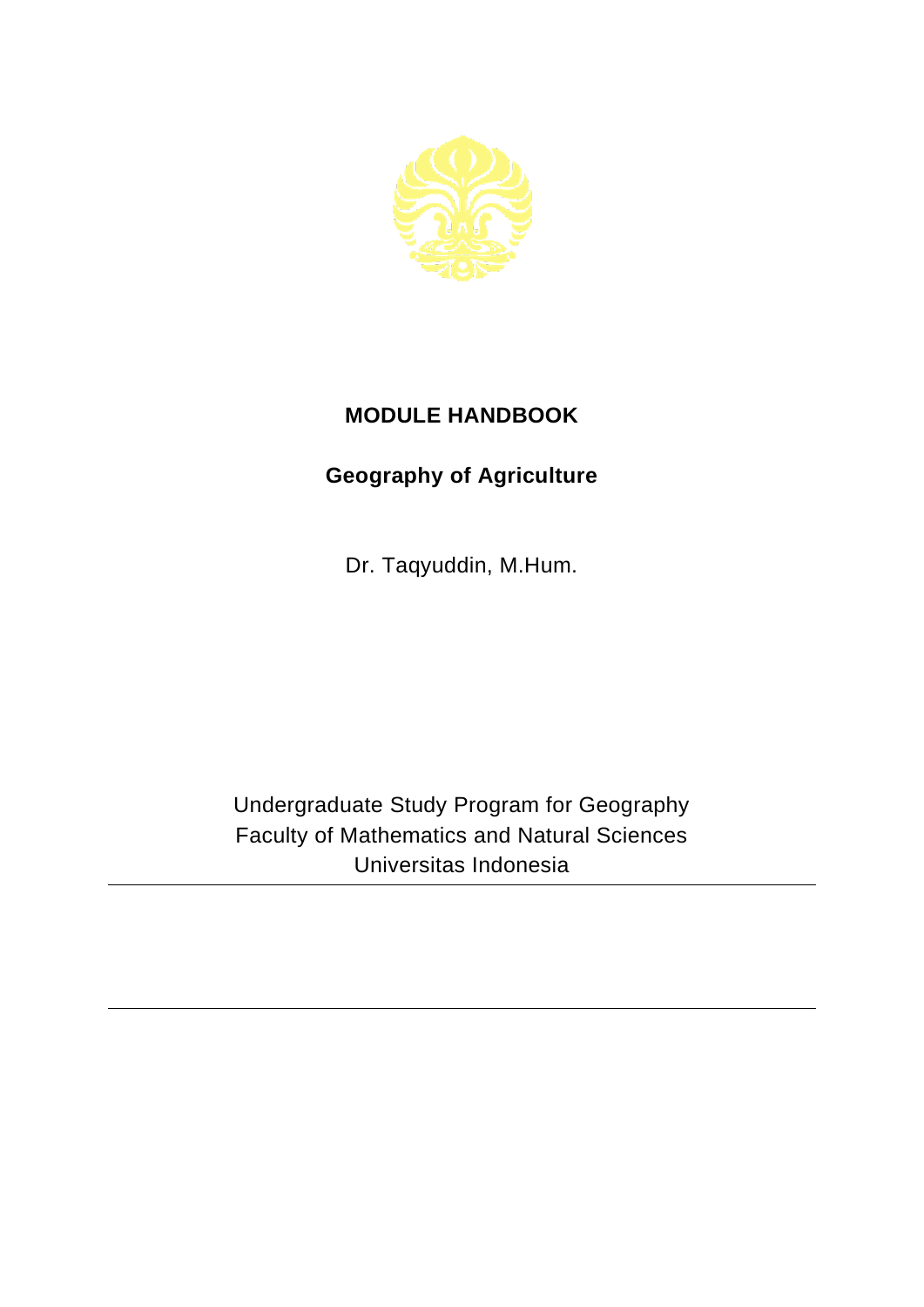

## **MODULE HANDBOOK**

## **Geography of Agriculture**

Dr. Taqyuddin, M.Hum.

Undergraduate Study Program for Geography Faculty of Mathematics and Natural Sciences Universitas Indonesia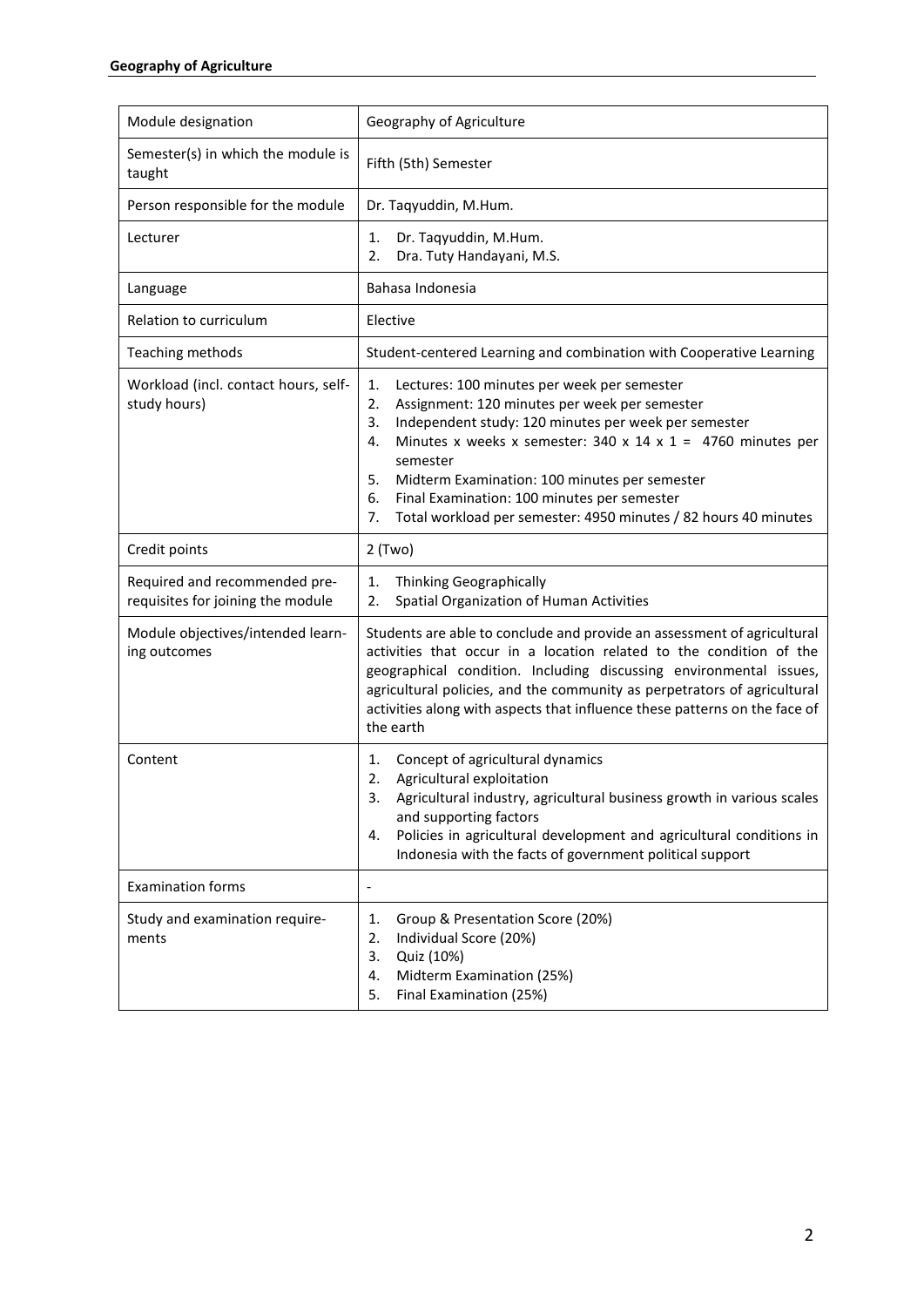| Module designation                                                 | Geography of Agriculture                                                                                                                                                                                                                                                                                                                                                                                                                     |
|--------------------------------------------------------------------|----------------------------------------------------------------------------------------------------------------------------------------------------------------------------------------------------------------------------------------------------------------------------------------------------------------------------------------------------------------------------------------------------------------------------------------------|
| Semester(s) in which the module is<br>taught                       | Fifth (5th) Semester                                                                                                                                                                                                                                                                                                                                                                                                                         |
| Person responsible for the module                                  | Dr. Taqyuddin, M.Hum.                                                                                                                                                                                                                                                                                                                                                                                                                        |
| Lecturer                                                           | Dr. Taqyuddin, M.Hum.<br>1.<br>Dra. Tuty Handayani, M.S.<br>2.                                                                                                                                                                                                                                                                                                                                                                               |
| Language                                                           | Bahasa Indonesia                                                                                                                                                                                                                                                                                                                                                                                                                             |
| Relation to curriculum                                             | Elective                                                                                                                                                                                                                                                                                                                                                                                                                                     |
| Teaching methods                                                   | Student-centered Learning and combination with Cooperative Learning                                                                                                                                                                                                                                                                                                                                                                          |
| Workload (incl. contact hours, self-<br>study hours)               | 1.<br>Lectures: 100 minutes per week per semester<br>2.<br>Assignment: 120 minutes per week per semester<br>Independent study: 120 minutes per week per semester<br>3.<br>Minutes x weeks x semester: 340 x 14 x 1 = 4760 minutes per<br>4.<br>semester<br>5.<br>Midterm Examination: 100 minutes per semester<br>6.<br>Final Examination: 100 minutes per semester<br>Total workload per semester: 4950 minutes / 82 hours 40 minutes<br>7. |
| Credit points                                                      | $2$ (Two)                                                                                                                                                                                                                                                                                                                                                                                                                                    |
| Required and recommended pre-<br>requisites for joining the module | Thinking Geographically<br>1.<br>Spatial Organization of Human Activities<br>2.                                                                                                                                                                                                                                                                                                                                                              |
| Module objectives/intended learn-<br>ing outcomes                  | Students are able to conclude and provide an assessment of agricultural<br>activities that occur in a location related to the condition of the<br>geographical condition. Including discussing environmental issues,<br>agricultural policies, and the community as perpetrators of agricultural<br>activities along with aspects that influence these patterns on the face of<br>the earth                                                  |
| Content                                                            | Concept of agricultural dynamics<br>1.<br>Agricultural exploitation<br>2.<br>Agricultural industry, agricultural business growth in various scales<br>and supporting factors<br>Policies in agricultural development and agricultural conditions in<br>4.<br>Indonesia with the facts of government political support                                                                                                                        |
| <b>Examination forms</b>                                           | $\qquad \qquad \blacksquare$                                                                                                                                                                                                                                                                                                                                                                                                                 |
| Study and examination require-<br>ments                            | Group & Presentation Score (20%)<br>1.<br>2.<br>Individual Score (20%)<br>3.<br>Quiz (10%)<br>Midterm Examination (25%)<br>4.<br>Final Examination (25%)<br>5.                                                                                                                                                                                                                                                                               |